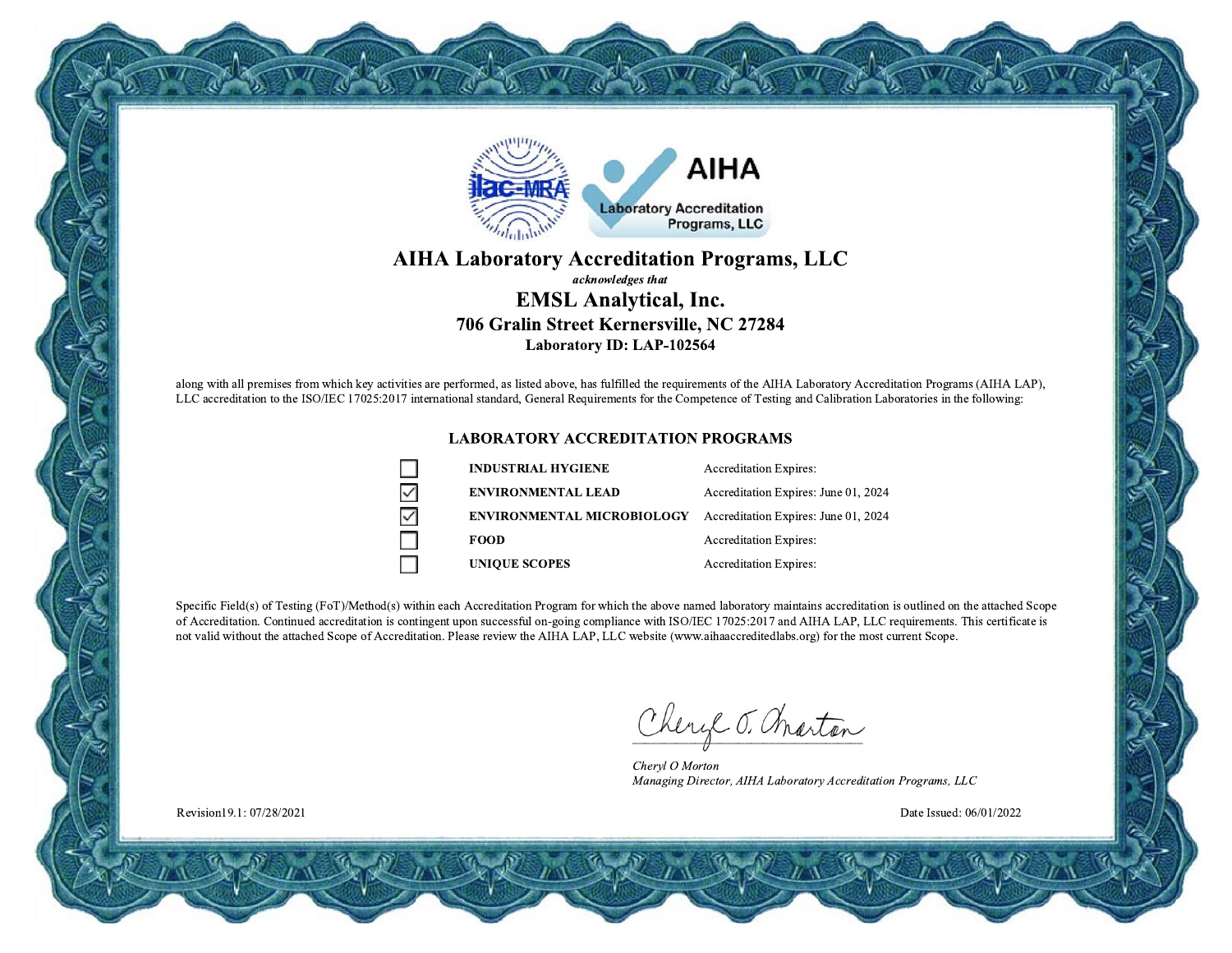

### **AIHA Laboratory Accreditation Programs, LLC** acknowledges that **EMSL Analytical, Inc.** 706 Gralin Street Kernersville, NC 27284

Laboratory ID: LAP-102564

along with all premises from which key activities are performed, as listed above, has fulfilled the requirements of the AIHA Laboratory Accreditation Programs (AIHA LAP), LLC accreditation to the ISO/IEC 17025:2017 international standard, General Requirements for the Competence of Testing and Calibration Laboratories in the following:

#### **LABORATORY ACCREDITATION PROGRAMS**

| <b>INDUSTRIAL HYGIENE</b>         | <b>Accreditation Expires:</b>        |
|-----------------------------------|--------------------------------------|
| <b>ENVIRONMENTAL LEAD</b>         | Accreditation Expires: June 01, 2024 |
| <b>ENVIRONMENTAL MICROBIOLOGY</b> | Accreditation Expires: June 01, 2024 |
| <b>FOOD</b>                       | <b>Accreditation Expires:</b>        |
| <b>UNIOUE SCOPES</b>              | <b>Accreditation Expires:</b>        |

Specific Field(s) of Testing (FoT)/Method(s) within each Accreditation Program for which the above named laboratory maintains accreditation is outlined on the attached Scope of Accreditation. Continued accreditation is contingent upon successful on-going compliance with ISO/IEC 17025:2017 and AIHA LAP, LLC requirements. This certificate is not valid without the attached Scope of Accreditation. Please review the AIHA LAP, LLC website (www.aihaaccreditedlabs.org) for the most current Scope.

Cheryl J. Charton

Chervl O Morton Managing Director, AIHA Laboratory Accreditation Programs, LLC

Date Issued: 06/01/2022

Revision19.1: 07/28/2021

 $\geq$